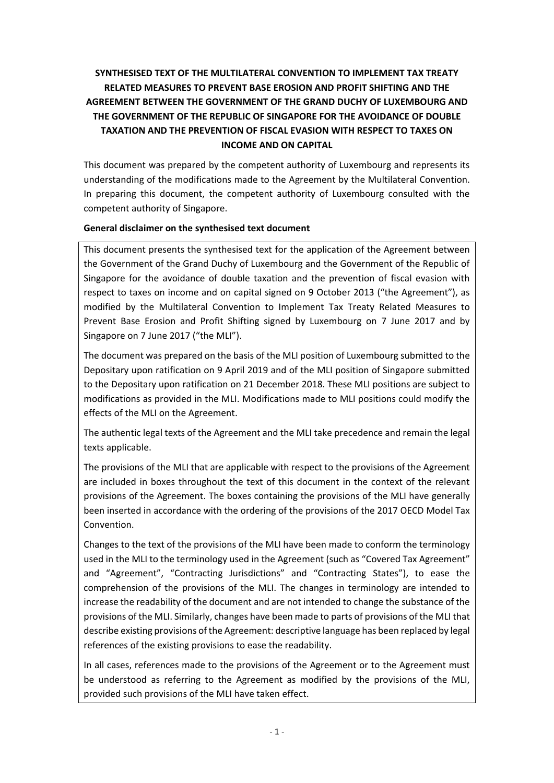# **SYNTHESISED TEXT OF THE MULTILATERAL CONVENTION TO IMPLEMENT TAX TREATY RELATED MEASURES TO PREVENT BASE EROSION AND PROFIT SHIFTING AND THE AGREEMENT BETWEEN THE GOVERNMENT OF THE GRAND DUCHY OF LUXEMBOURG AND THE GOVERNMENT OF THE REPUBLIC OF SINGAPORE FOR THE AVOIDANCE OF DOUBLE TAXATION AND THE PREVENTION OF FISCAL EVASION WITH RESPECT TO TAXES ON INCOME AND ON CAPITAL**

This document was prepared by the competent authority of Luxembourg and represents its understanding of the modifications made to the Agreement by the Multilateral Convention. In preparing this document, the competent authority of Luxembourg consulted with the competent authority of Singapore.

## **General disclaimer on the synthesised text document**

This document presents the synthesised text for the application of the Agreement between the Government of the Grand Duchy of Luxembourg and the Government of the Republic of Singapore for the avoidance of double taxation and the prevention of fiscal evasion with respect to taxes on income and on capital signed on 9 October 2013 ("the Agreement"), as modified by the Multilateral Convention to Implement Tax Treaty Related Measures to Prevent Base Erosion and Profit Shifting signed by Luxembourg on 7 June 2017 and by Singapore on 7 June 2017 ("the MLI").

The document was prepared on the basis of the MLI position of Luxembourg submitted to the Depositary upon ratification on 9 April 2019 and of the MLI position of Singapore submitted to the Depositary upon ratification on 21 December 2018. These MLI positions are subject to modifications as provided in the MLI. Modifications made to MLI positions could modify the effects of the MLI on the Agreement.

The authentic legal texts of the Agreement and the MLI take precedence and remain the legal texts applicable.

The provisions of the MLI that are applicable with respect to the provisions of the Agreement are included in boxes throughout the text of this document in the context of the relevant provisions of the Agreement. The boxes containing the provisions of the MLI have generally been inserted in accordance with the ordering of the provisions of the 2017 OECD Model Tax Convention.

Changes to the text of the provisions of the MLI have been made to conform the terminology used in the MLI to the terminology used in the Agreement (such as "Covered Tax Agreement" and "Agreement", "Contracting Jurisdictions" and "Contracting States"), to ease the comprehension of the provisions of the MLI. The changes in terminology are intended to increase the readability of the document and are not intended to change the substance of the provisions of the MLI. Similarly, changes have been made to parts of provisions of the MLI that describe existing provisions of the Agreement: descriptive language has been replaced by legal references of the existing provisions to ease the readability.

In all cases, references made to the provisions of the Agreement or to the Agreement must be understood as referring to the Agreement as modified by the provisions of the MLI, provided such provisions of the MLI have taken effect.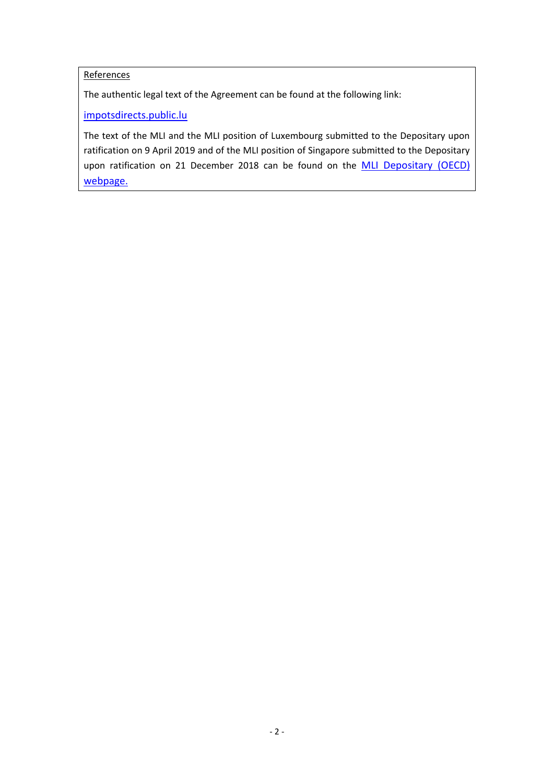# References

The authentic legal text of the Agreement can be found at the following link:

[impotsdirects.public.lu](https://impotsdirects.public.lu/fr.html)

The text of the MLI and the MLI position of Luxembourg submitted to the Depositary upon ratification on 9 April 2019 and of the MLI position of Singapore submitted to the Depositary upon ratification on 21 December 2018 can be found on the **MLI Depositary (OECD)** [webpage.](https://www.oecd.org/tax/treaties/multilateral-convention-to-implement-tax-treaty-related-measures-to-prevent-beps.htm)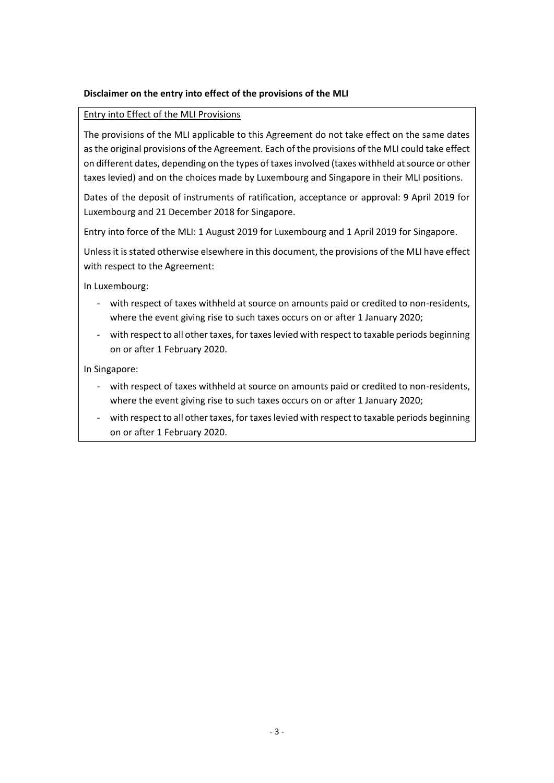## **Disclaimer on the entry into effect of the provisions of the MLI**

## Entry into Effect of the MLI Provisions

The provisions of the MLI applicable to this Agreement do not take effect on the same dates as the original provisions of the Agreement. Each of the provisions of the MLI could take effect on different dates, depending on the types of taxes involved (taxes withheld at source or other taxes levied) and on the choices made by Luxembourg and Singapore in their MLI positions.

Dates of the deposit of instruments of ratification, acceptance or approval: 9 April 2019 for Luxembourg and 21 December 2018 for Singapore.

Entry into force of the MLI: 1 August 2019 for Luxembourg and 1 April 2019 for Singapore.

Unless it is stated otherwise elsewhere in this document, the provisions of the MLI have effect with respect to the Agreement:

In Luxembourg:

- with respect of taxes withheld at source on amounts paid or credited to non-residents, where the event giving rise to such taxes occurs on or after 1 January 2020;
- with respect to all other taxes, for taxes levied with respect to taxable periods beginning on or after 1 February 2020.

In Singapore:

- with respect of taxes withheld at source on amounts paid or credited to non-residents, where the event giving rise to such taxes occurs on or after 1 January 2020;
- with respect to all other taxes, for taxes levied with respect to taxable periods beginning on or after 1 February 2020.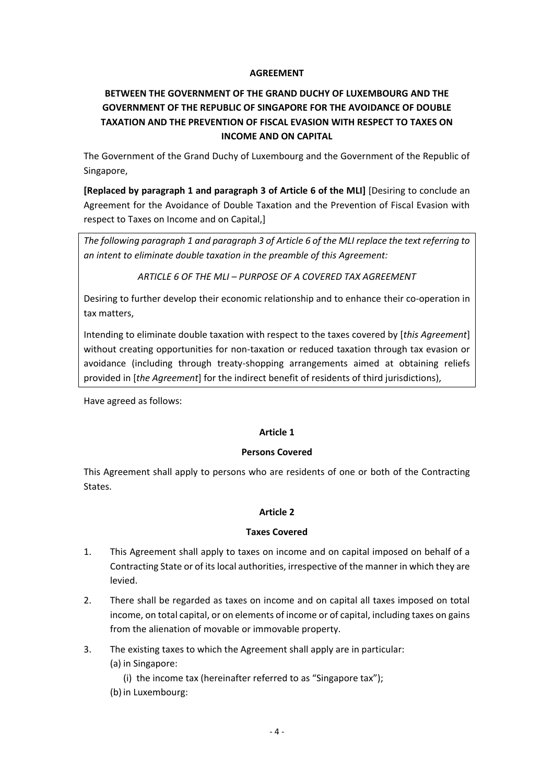## **AGREEMENT**

# **BETWEEN THE GOVERNMENT OF THE GRAND DUCHY OF LUXEMBOURG AND THE GOVERNMENT OF THE REPUBLIC OF SINGAPORE FOR THE AVOIDANCE OF DOUBLE TAXATION AND THE PREVENTION OF FISCAL EVASION WITH RESPECT TO TAXES ON INCOME AND ON CAPITAL**

The Government of the Grand Duchy of Luxembourg and the Government of the Republic of Singapore,

**[Replaced by paragraph 1 and paragraph 3 of Article 6 of the MLI]** [Desiring to conclude an Agreement for the Avoidance of Double Taxation and the Prevention of Fiscal Evasion with respect to Taxes on Income and on Capital,]

*The following paragraph 1 and paragraph 3 of Article 6 of the MLI replace the text referring to an intent to eliminate double taxation in the preamble of this Agreement:*

*ARTICLE 6 OF THE MLI – PURPOSE OF A COVERED TAX AGREEMENT*

Desiring to further develop their economic relationship and to enhance their co-operation in tax matters,

Intending to eliminate double taxation with respect to the taxes covered by [*this Agreement*] without creating opportunities for non-taxation or reduced taxation through tax evasion or avoidance (including through treaty-shopping arrangements aimed at obtaining reliefs provided in [*the Agreement*] for the indirect benefit of residents of third jurisdictions),

Have agreed as follows:

# **Article 1**

### **Persons Covered**

This Agreement shall apply to persons who are residents of one or both of the Contracting States.

# **Article 2**

### **Taxes Covered**

- 1. This Agreement shall apply to taxes on income and on capital imposed on behalf of a Contracting State or of its local authorities, irrespective of the manner in which they are levied.
- 2. There shall be regarded as taxes on income and on capital all taxes imposed on total income, on total capital, or on elements of income or of capital, including taxes on gains from the alienation of movable or immovable property.
- 3. The existing taxes to which the Agreement shall apply are in particular:
	- (a) in Singapore:
		- (i) the income tax (hereinafter referred to as "Singapore tax");
	- (b) in Luxembourg: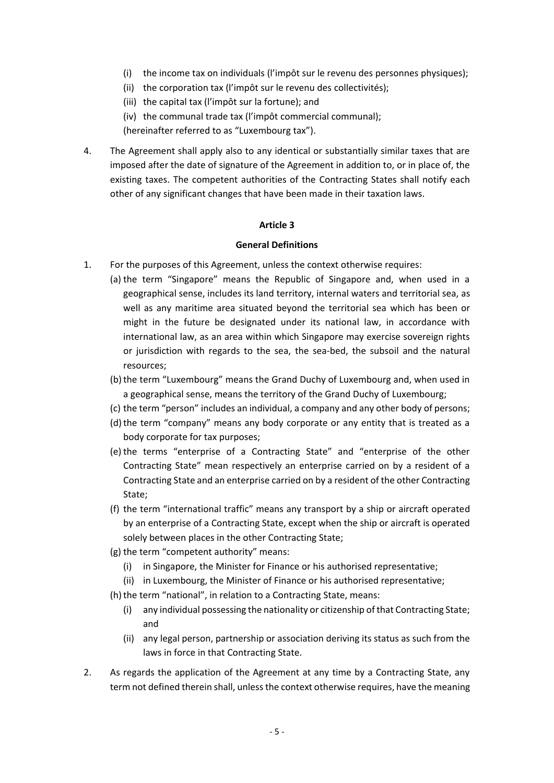- (i) the income tax on individuals (l'impôt sur le revenu des personnes physiques);
- (ii) the corporation tax (l'impôt sur le revenu des collectivités);
- (iii) the capital tax (l'impôt sur la fortune); and
- (iv) the communal trade tax (l'impôt commercial communal);

(hereinafter referred to as "Luxembourg tax").

4. The Agreement shall apply also to any identical or substantially similar taxes that are imposed after the date of signature of the Agreement in addition to, or in place of, the existing taxes. The competent authorities of the Contracting States shall notify each other of any significant changes that have been made in their taxation laws.

### **Article 3**

#### **General Definitions**

- 1. For the purposes of this Agreement, unless the context otherwise requires:
	- (a) the term "Singapore" means the Republic of Singapore and, when used in a geographical sense, includes its land territory, internal waters and territorial sea, as well as any maritime area situated beyond the territorial sea which has been or might in the future be designated under its national law, in accordance with international law, as an area within which Singapore may exercise sovereign rights or jurisdiction with regards to the sea, the sea-bed, the subsoil and the natural resources;
	- (b) the term "Luxembourg" means the Grand Duchy of Luxembourg and, when used in a geographical sense, means the territory of the Grand Duchy of Luxembourg;
	- (c) the term "person" includes an individual, a company and any other body of persons;
	- (d)the term "company" means any body corporate or any entity that is treated as a body corporate for tax purposes;
	- (e) the terms "enterprise of a Contracting State" and "enterprise of the other Contracting State" mean respectively an enterprise carried on by a resident of a Contracting State and an enterprise carried on by a resident of the other Contracting State;
	- (f) the term "international traffic" means any transport by a ship or aircraft operated by an enterprise of a Contracting State, except when the ship or aircraft is operated solely between places in the other Contracting State;
	- (g) the term "competent authority" means:
		- (i) in Singapore, the Minister for Finance or his authorised representative;
		- (ii) in Luxembourg, the Minister of Finance or his authorised representative;
	- (h) the term "national", in relation to a Contracting State, means:
		- (i) any individual possessing the nationality or citizenship of that Contracting State; and
		- (ii) any legal person, partnership or association deriving its status as such from the laws in force in that Contracting State.
- 2. As regards the application of the Agreement at any time by a Contracting State, any term not defined therein shall, unless the context otherwise requires, have the meaning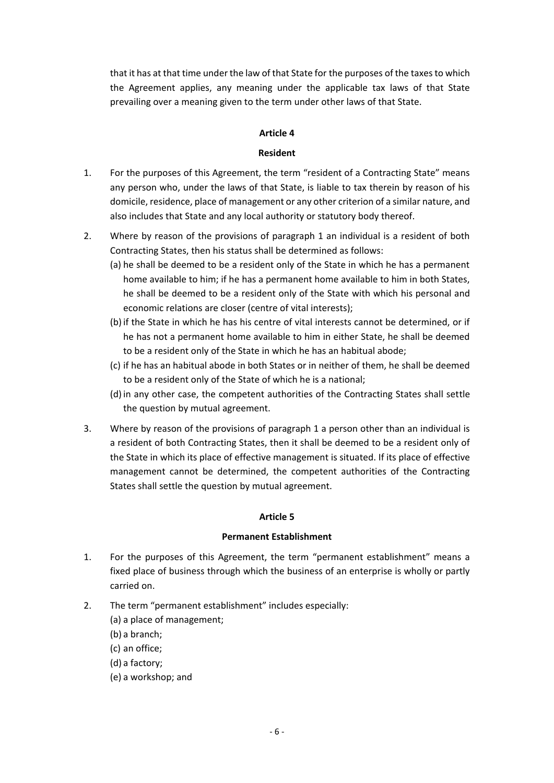that it has at that time under the law of that State for the purposes of the taxes to which the Agreement applies, any meaning under the applicable tax laws of that State prevailing over a meaning given to the term under other laws of that State.

## **Article 4**

## **Resident**

- 1. For the purposes of this Agreement, the term "resident of a Contracting State" means any person who, under the laws of that State, is liable to tax therein by reason of his domicile, residence, place of management or any other criterion of a similar nature, and also includes that State and any local authority or statutory body thereof.
- 2. Where by reason of the provisions of paragraph 1 an individual is a resident of both Contracting States, then his status shall be determined as follows:
	- (a) he shall be deemed to be a resident only of the State in which he has a permanent home available to him; if he has a permanent home available to him in both States, he shall be deemed to be a resident only of the State with which his personal and economic relations are closer (centre of vital interests);
	- (b) if the State in which he has his centre of vital interests cannot be determined, or if he has not a permanent home available to him in either State, he shall be deemed to be a resident only of the State in which he has an habitual abode;
	- (c) if he has an habitual abode in both States or in neither of them, he shall be deemed to be a resident only of the State of which he is a national;
	- (d) in any other case, the competent authorities of the Contracting States shall settle the question by mutual agreement.
- 3. Where by reason of the provisions of paragraph 1 a person other than an individual is a resident of both Contracting States, then it shall be deemed to be a resident only of the State in which its place of effective management is situated. If its place of effective management cannot be determined, the competent authorities of the Contracting States shall settle the question by mutual agreement.

# **Article 5**

### **Permanent Establishment**

- 1. For the purposes of this Agreement, the term "permanent establishment" means a fixed place of business through which the business of an enterprise is wholly or partly carried on.
- 2. The term "permanent establishment" includes especially:
	- (a) a place of management;
	- (b) a branch;
	- (c) an office;
	- (d) a factory;
	- (e) a workshop; and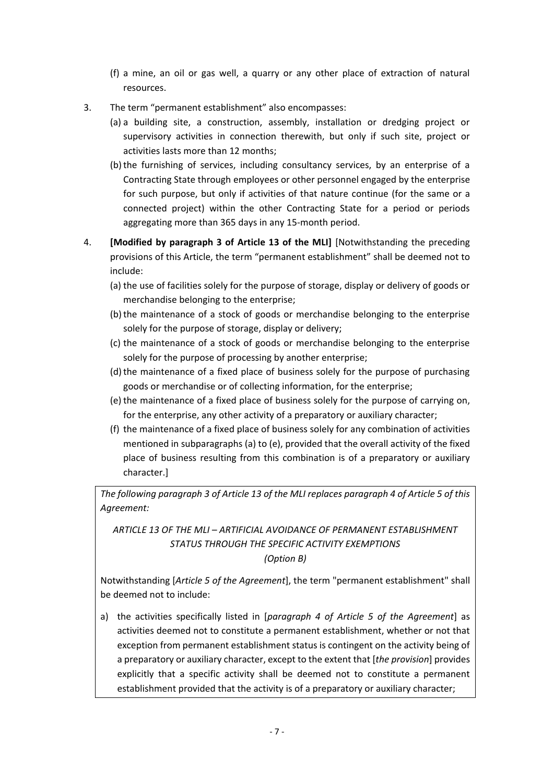- (f) a mine, an oil or gas well, a quarry or any other place of extraction of natural resources.
- 3. The term "permanent establishment" also encompasses:
	- (a) a building site, a construction, assembly, installation or dredging project or supervisory activities in connection therewith, but only if such site, project or activities lasts more than 12 months;
	- (b)the furnishing of services, including consultancy services, by an enterprise of a Contracting State through employees or other personnel engaged by the enterprise for such purpose, but only if activities of that nature continue (for the same or a connected project) within the other Contracting State for a period or periods aggregating more than 365 days in any 15-month period.
- 4. **[Modified by paragraph 3 of Article 13 of the MLI]** [Notwithstanding the preceding provisions of this Article, the term "permanent establishment" shall be deemed not to include:
	- (a) the use of facilities solely for the purpose of storage, display or delivery of goods or merchandise belonging to the enterprise;
	- (b)the maintenance of a stock of goods or merchandise belonging to the enterprise solely for the purpose of storage, display or delivery;
	- (c) the maintenance of a stock of goods or merchandise belonging to the enterprise solely for the purpose of processing by another enterprise;
	- (d)the maintenance of a fixed place of business solely for the purpose of purchasing goods or merchandise or of collecting information, for the enterprise;
	- (e) the maintenance of a fixed place of business solely for the purpose of carrying on, for the enterprise, any other activity of a preparatory or auxiliary character;
	- (f) the maintenance of a fixed place of business solely for any combination of activities mentioned in subparagraphs (a) to (e), provided that the overall activity of the fixed place of business resulting from this combination is of a preparatory or auxiliary character.]

*The following paragraph 3 of Article 13 of the MLI replaces paragraph 4 of Article 5 of this Agreement:*

*ARTICLE 13 OF THE MLI – ARTIFICIAL AVOIDANCE OF PERMANENT ESTABLISHMENT STATUS THROUGH THE SPECIFIC ACTIVITY EXEMPTIONS (Option B)*

Notwithstanding [*Article 5 of the Agreement*], the term "permanent establishment" shall be deemed not to include:

a) the activities specifically listed in [*paragraph 4 of Article 5 of the Agreement*] as activities deemed not to constitute a permanent establishment, whether or not that exception from permanent establishment status is contingent on the activity being of a preparatory or auxiliary character, except to the extent that [*the provision*] provides explicitly that a specific activity shall be deemed not to constitute a permanent establishment provided that the activity is of a preparatory or auxiliary character;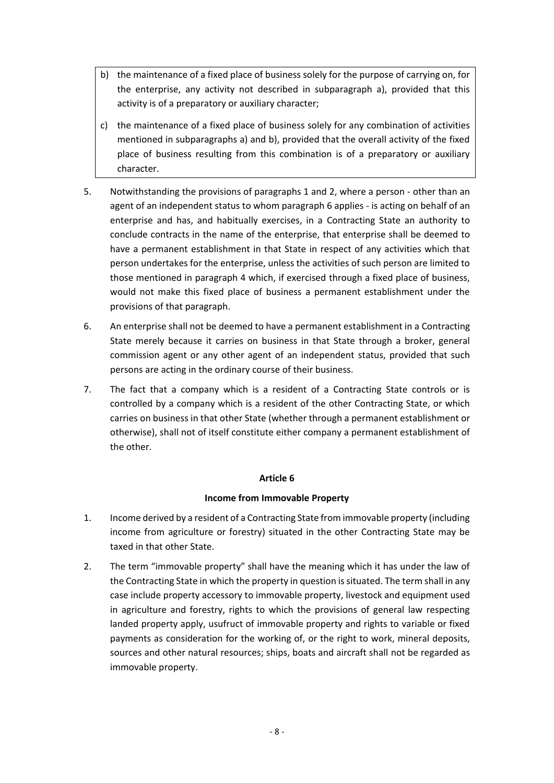- b) the maintenance of a fixed place of business solely for the purpose of carrying on, for the enterprise, any activity not described in subparagraph a), provided that this activity is of a preparatory or auxiliary character;
- c) the maintenance of a fixed place of business solely for any combination of activities mentioned in subparagraphs a) and b), provided that the overall activity of the fixed place of business resulting from this combination is of a preparatory or auxiliary character.
- 5. Notwithstanding the provisions of paragraphs 1 and 2, where a person other than an agent of an independent status to whom paragraph 6 applies - is acting on behalf of an enterprise and has, and habitually exercises, in a Contracting State an authority to conclude contracts in the name of the enterprise, that enterprise shall be deemed to have a permanent establishment in that State in respect of any activities which that person undertakes for the enterprise, unless the activities of such person are limited to those mentioned in paragraph 4 which, if exercised through a fixed place of business, would not make this fixed place of business a permanent establishment under the provisions of that paragraph.
- 6. An enterprise shall not be deemed to have a permanent establishment in a Contracting State merely because it carries on business in that State through a broker, general commission agent or any other agent of an independent status, provided that such persons are acting in the ordinary course of their business.
- 7. The fact that a company which is a resident of a Contracting State controls or is controlled by a company which is a resident of the other Contracting State, or which carries on business in that other State (whether through a permanent establishment or otherwise), shall not of itself constitute either company a permanent establishment of the other.

# **Income from Immovable Property**

- 1. Income derived by a resident of a Contracting State from immovable property (including income from agriculture or forestry) situated in the other Contracting State may be taxed in that other State.
- 2. The term "immovable property" shall have the meaning which it has under the law of the Contracting State in which the property in question is situated. The term shall in any case include property accessory to immovable property, livestock and equipment used in agriculture and forestry, rights to which the provisions of general law respecting landed property apply, usufruct of immovable property and rights to variable or fixed payments as consideration for the working of, or the right to work, mineral deposits, sources and other natural resources; ships, boats and aircraft shall not be regarded as immovable property.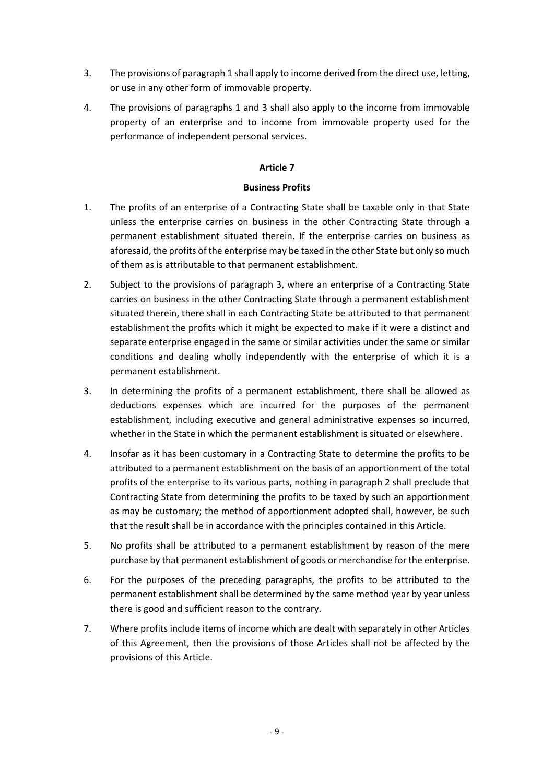- 3. The provisions of paragraph 1 shall apply to income derived from the direct use, letting, or use in any other form of immovable property.
- 4. The provisions of paragraphs 1 and 3 shall also apply to the income from immovable property of an enterprise and to income from immovable property used for the performance of independent personal services.

## **Business Profits**

- 1. The profits of an enterprise of a Contracting State shall be taxable only in that State unless the enterprise carries on business in the other Contracting State through a permanent establishment situated therein. If the enterprise carries on business as aforesaid, the profits of the enterprise may be taxed in the other State but only so much of them as is attributable to that permanent establishment.
- 2. Subject to the provisions of paragraph 3, where an enterprise of a Contracting State carries on business in the other Contracting State through a permanent establishment situated therein, there shall in each Contracting State be attributed to that permanent establishment the profits which it might be expected to make if it were a distinct and separate enterprise engaged in the same or similar activities under the same or similar conditions and dealing wholly independently with the enterprise of which it is a permanent establishment.
- 3. In determining the profits of a permanent establishment, there shall be allowed as deductions expenses which are incurred for the purposes of the permanent establishment, including executive and general administrative expenses so incurred, whether in the State in which the permanent establishment is situated or elsewhere.
- 4. Insofar as it has been customary in a Contracting State to determine the profits to be attributed to a permanent establishment on the basis of an apportionment of the total profits of the enterprise to its various parts, nothing in paragraph 2 shall preclude that Contracting State from determining the profits to be taxed by such an apportionment as may be customary; the method of apportionment adopted shall, however, be such that the result shall be in accordance with the principles contained in this Article.
- 5. No profits shall be attributed to a permanent establishment by reason of the mere purchase by that permanent establishment of goods or merchandise for the enterprise.
- 6. For the purposes of the preceding paragraphs, the profits to be attributed to the permanent establishment shall be determined by the same method year by year unless there is good and sufficient reason to the contrary.
- 7. Where profits include items of income which are dealt with separately in other Articles of this Agreement, then the provisions of those Articles shall not be affected by the provisions of this Article.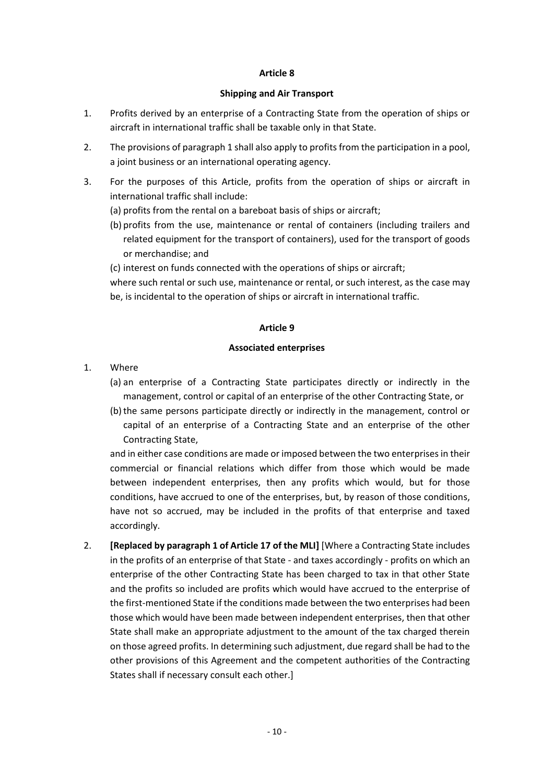## **Shipping and Air Transport**

- 1. Profits derived by an enterprise of a Contracting State from the operation of ships or aircraft in international traffic shall be taxable only in that State.
- 2. The provisions of paragraph 1 shall also apply to profits from the participation in a pool, a joint business or an international operating agency.
- 3. For the purposes of this Article, profits from the operation of ships or aircraft in international traffic shall include:
	- (a) profits from the rental on a bareboat basis of ships or aircraft;
	- (b) profits from the use, maintenance or rental of containers (including trailers and related equipment for the transport of containers), used for the transport of goods or merchandise; and
	- (c) interest on funds connected with the operations of ships or aircraft;

where such rental or such use, maintenance or rental, or such interest, as the case may be, is incidental to the operation of ships or aircraft in international traffic.

### **Article 9**

### **Associated enterprises**

- 1. Where
	- (a) an enterprise of a Contracting State participates directly or indirectly in the management, control or capital of an enterprise of the other Contracting State, or
	- (b)the same persons participate directly or indirectly in the management, control or capital of an enterprise of a Contracting State and an enterprise of the other Contracting State,

and in either case conditions are made or imposed between the two enterprises in their commercial or financial relations which differ from those which would be made between independent enterprises, then any profits which would, but for those conditions, have accrued to one of the enterprises, but, by reason of those conditions, have not so accrued, may be included in the profits of that enterprise and taxed accordingly.

2. **[Replaced by paragraph 1 of Article 17 of the MLI]** [Where a Contracting State includes in the profits of an enterprise of that State - and taxes accordingly - profits on which an enterprise of the other Contracting State has been charged to tax in that other State and the profits so included are profits which would have accrued to the enterprise of the first-mentioned State if the conditions made between the two enterprises had been those which would have been made between independent enterprises, then that other State shall make an appropriate adjustment to the amount of the tax charged therein on those agreed profits. In determining such adjustment, due regard shall be had to the other provisions of this Agreement and the competent authorities of the Contracting States shall if necessary consult each other.]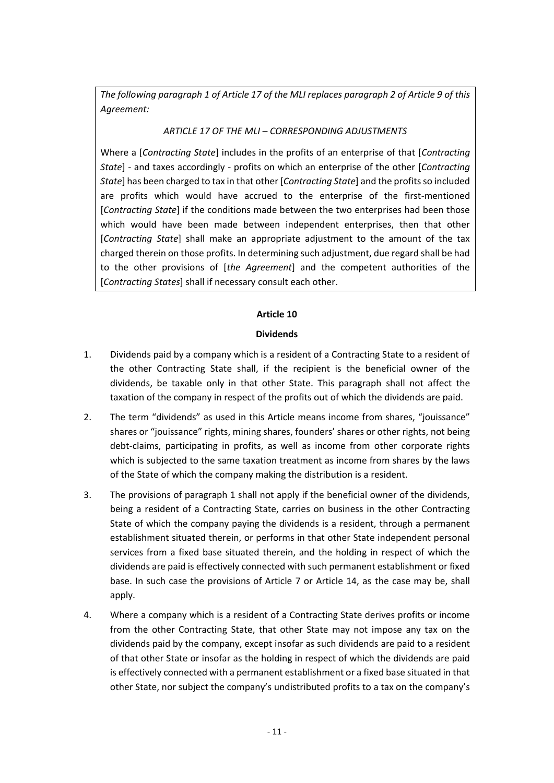*The following paragraph 1 of Article 17 of the MLI replaces paragraph 2 of Article 9 of this Agreement:*

*ARTICLE 17 OF THE MLI – CORRESPONDING ADJUSTMENTS*

Where a [*Contracting State*] includes in the profits of an enterprise of that [*Contracting State*] - and taxes accordingly - profits on which an enterprise of the other [*Contracting State*] has been charged to tax in that other [*Contracting State*] and the profits so included are profits which would have accrued to the enterprise of the first-mentioned [*Contracting State*] if the conditions made between the two enterprises had been those which would have been made between independent enterprises, then that other [*Contracting State*] shall make an appropriate adjustment to the amount of the tax charged therein on those profits. In determining such adjustment, due regard shall be had to the other provisions of [*the Agreement*] and the competent authorities of the [*Contracting States*] shall if necessary consult each other.

# **Article 10**

# **Dividends**

- 1. Dividends paid by a company which is a resident of a Contracting State to a resident of the other Contracting State shall, if the recipient is the beneficial owner of the dividends, be taxable only in that other State. This paragraph shall not affect the taxation of the company in respect of the profits out of which the dividends are paid.
- 2. The term "dividends" as used in this Article means income from shares, "jouissance" shares or "jouissance" rights, mining shares, founders' shares or other rights, not being debt-claims, participating in profits, as well as income from other corporate rights which is subjected to the same taxation treatment as income from shares by the laws of the State of which the company making the distribution is a resident.
- 3. The provisions of paragraph 1 shall not apply if the beneficial owner of the dividends, being a resident of a Contracting State, carries on business in the other Contracting State of which the company paying the dividends is a resident, through a permanent establishment situated therein, or performs in that other State independent personal services from a fixed base situated therein, and the holding in respect of which the dividends are paid is effectively connected with such permanent establishment or fixed base. In such case the provisions of Article 7 or Article 14, as the case may be, shall apply.
- 4. Where a company which is a resident of a Contracting State derives profits or income from the other Contracting State, that other State may not impose any tax on the dividends paid by the company, except insofar as such dividends are paid to a resident of that other State or insofar as the holding in respect of which the dividends are paid is effectively connected with a permanent establishment or a fixed base situated in that other State, nor subject the company's undistributed profits to a tax on the company's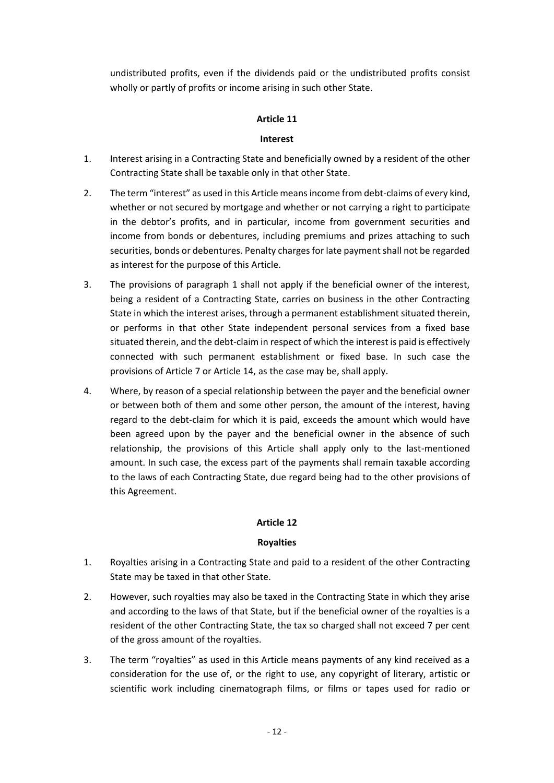undistributed profits, even if the dividends paid or the undistributed profits consist wholly or partly of profits or income arising in such other State.

# **Article 11**

# **Interest**

- 1. Interest arising in a Contracting State and beneficially owned by a resident of the other Contracting State shall be taxable only in that other State.
- 2. The term "interest" as used in this Article means income from debt-claims of every kind, whether or not secured by mortgage and whether or not carrying a right to participate in the debtor's profits, and in particular, income from government securities and income from bonds or debentures, including premiums and prizes attaching to such securities, bonds or debentures. Penalty charges for late payment shall not be regarded as interest for the purpose of this Article.
- 3. The provisions of paragraph 1 shall not apply if the beneficial owner of the interest, being a resident of a Contracting State, carries on business in the other Contracting State in which the interest arises, through a permanent establishment situated therein, or performs in that other State independent personal services from a fixed base situated therein, and the debt-claim in respect of which the interest is paid is effectively connected with such permanent establishment or fixed base. In such case the provisions of Article 7 or Article 14, as the case may be, shall apply.
- 4. Where, by reason of a special relationship between the payer and the beneficial owner or between both of them and some other person, the amount of the interest, having regard to the debt-claim for which it is paid, exceeds the amount which would have been agreed upon by the payer and the beneficial owner in the absence of such relationship, the provisions of this Article shall apply only to the last-mentioned amount. In such case, the excess part of the payments shall remain taxable according to the laws of each Contracting State, due regard being had to the other provisions of this Agreement.

# **Article 12**

# **Royalties**

- 1. Royalties arising in a Contracting State and paid to a resident of the other Contracting State may be taxed in that other State.
- 2. However, such royalties may also be taxed in the Contracting State in which they arise and according to the laws of that State, but if the beneficial owner of the royalties is a resident of the other Contracting State, the tax so charged shall not exceed 7 per cent of the gross amount of the royalties.
- 3. The term "royalties" as used in this Article means payments of any kind received as a consideration for the use of, or the right to use, any copyright of literary, artistic or scientific work including cinematograph films, or films or tapes used for radio or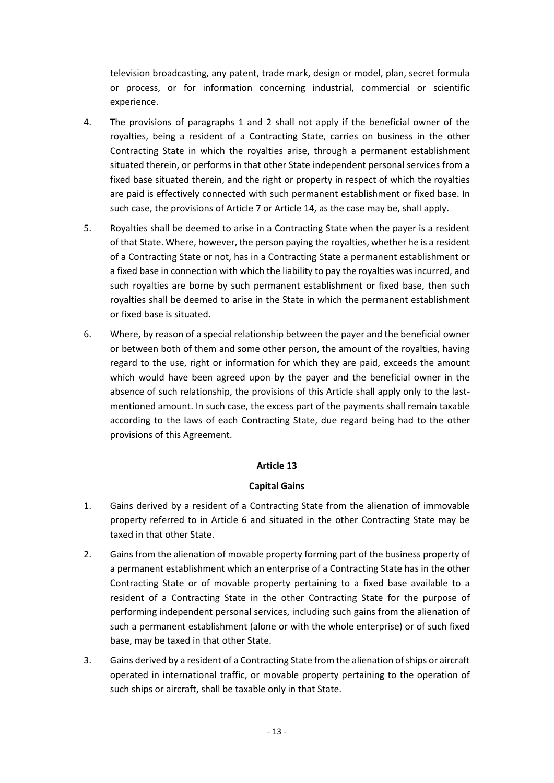television broadcasting, any patent, trade mark, design or model, plan, secret formula or process, or for information concerning industrial, commercial or scientific experience.

- 4. The provisions of paragraphs 1 and 2 shall not apply if the beneficial owner of the royalties, being a resident of a Contracting State, carries on business in the other Contracting State in which the royalties arise, through a permanent establishment situated therein, or performs in that other State independent personal services from a fixed base situated therein, and the right or property in respect of which the royalties are paid is effectively connected with such permanent establishment or fixed base. In such case, the provisions of Article 7 or Article 14, as the case may be, shall apply.
- 5. Royalties shall be deemed to arise in a Contracting State when the payer is a resident of that State. Where, however, the person paying the royalties, whether he is a resident of a Contracting State or not, has in a Contracting State a permanent establishment or a fixed base in connection with which the liability to pay the royalties was incurred, and such royalties are borne by such permanent establishment or fixed base, then such royalties shall be deemed to arise in the State in which the permanent establishment or fixed base is situated.
- 6. Where, by reason of a special relationship between the payer and the beneficial owner or between both of them and some other person, the amount of the royalties, having regard to the use, right or information for which they are paid, exceeds the amount which would have been agreed upon by the payer and the beneficial owner in the absence of such relationship, the provisions of this Article shall apply only to the lastmentioned amount. In such case, the excess part of the payments shall remain taxable according to the laws of each Contracting State, due regard being had to the other provisions of this Agreement.

# **Article 13**

# **Capital Gains**

- 1. Gains derived by a resident of a Contracting State from the alienation of immovable property referred to in Article 6 and situated in the other Contracting State may be taxed in that other State.
- 2. Gains from the alienation of movable property forming part of the business property of a permanent establishment which an enterprise of a Contracting State has in the other Contracting State or of movable property pertaining to a fixed base available to a resident of a Contracting State in the other Contracting State for the purpose of performing independent personal services, including such gains from the alienation of such a permanent establishment (alone or with the whole enterprise) or of such fixed base, may be taxed in that other State.
- 3. Gains derived by a resident of a Contracting State from the alienation of ships or aircraft operated in international traffic, or movable property pertaining to the operation of such ships or aircraft, shall be taxable only in that State.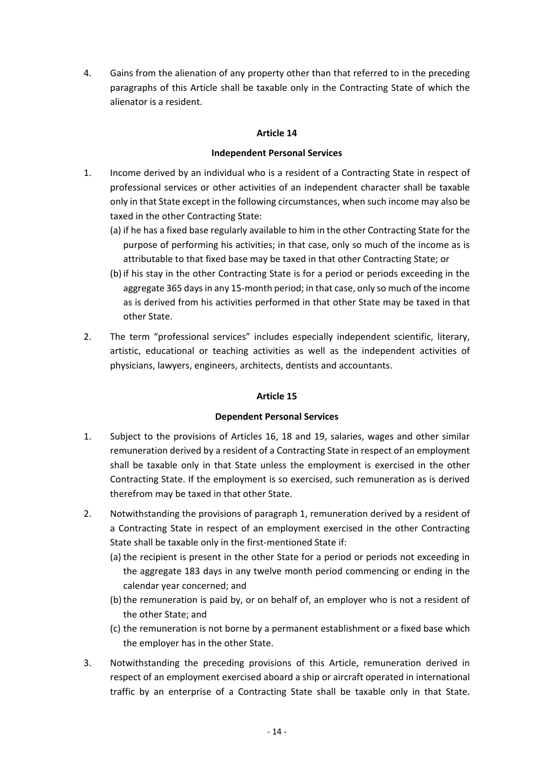4. Gains from the alienation of any property other than that referred to in the preceding paragraphs of this Article shall be taxable only in the Contracting State of which the alienator is a resident.

# **Article 14**

## **Independent Personal Services**

- 1. Income derived by an individual who is a resident of a Contracting State in respect of professional services or other activities of an independent character shall be taxable only in that State except in the following circumstances, when such income may also be taxed in the other Contracting State:
	- (a) if he has a fixed base regularly available to him in the other Contracting State for the purpose of performing his activities; in that case, only so much of the income as is attributable to that fixed base may be taxed in that other Contracting State; or
	- (b) if his stay in the other Contracting State is for a period or periods exceeding in the aggregate 365 days in any 15-month period; in that case, only so much of the income as is derived from his activities performed in that other State may be taxed in that other State.
- 2. The term "professional services" includes especially independent scientific, literary, artistic, educational or teaching activities as well as the independent activities of physicians, lawyers, engineers, architects, dentists and accountants.

# **Article 15**

### **Dependent Personal Services**

- 1. Subject to the provisions of Articles 16, 18 and 19, salaries, wages and other similar remuneration derived by a resident of a Contracting State in respect of an employment shall be taxable only in that State unless the employment is exercised in the other Contracting State. If the employment is so exercised, such remuneration as is derived therefrom may be taxed in that other State.
- 2. Notwithstanding the provisions of paragraph 1, remuneration derived by a resident of a Contracting State in respect of an employment exercised in the other Contracting State shall be taxable only in the first-mentioned State if:
	- (a) the recipient is present in the other State for a period or periods not exceeding in the aggregate 183 days in any twelve month period commencing or ending in the calendar year concerned; and
	- (b)the remuneration is paid by, or on behalf of, an employer who is not a resident of the other State; and
	- (c) the remuneration is not borne by a permanent establishment or a fixed base which the employer has in the other State.
- 3. Notwithstanding the preceding provisions of this Article, remuneration derived in respect of an employment exercised aboard a ship or aircraft operated in international traffic by an enterprise of a Contracting State shall be taxable only in that State.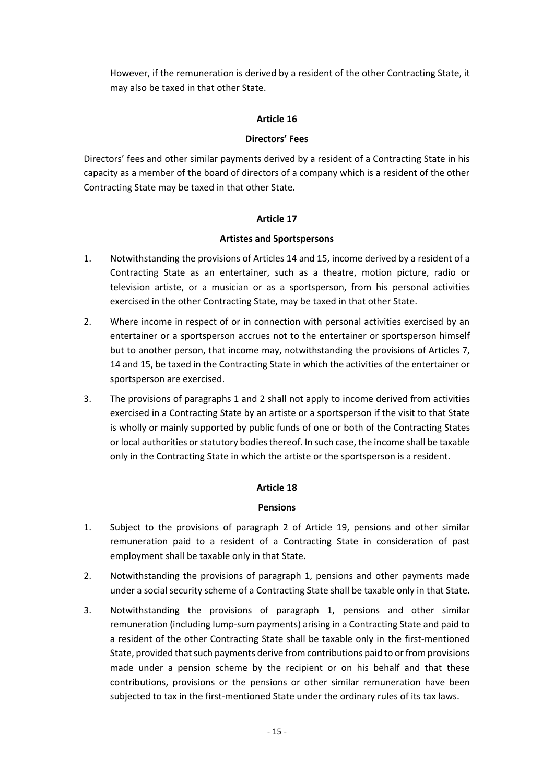However, if the remuneration is derived by a resident of the other Contracting State, it may also be taxed in that other State.

## **Article 16**

## **Directors' Fees**

Directors' fees and other similar payments derived by a resident of a Contracting State in his capacity as a member of the board of directors of a company which is a resident of the other Contracting State may be taxed in that other State.

## **Article 17**

## **Artistes and Sportspersons**

- 1. Notwithstanding the provisions of Articles 14 and 15, income derived by a resident of a Contracting State as an entertainer, such as a theatre, motion picture, radio or television artiste, or a musician or as a sportsperson, from his personal activities exercised in the other Contracting State, may be taxed in that other State.
- 2. Where income in respect of or in connection with personal activities exercised by an entertainer or a sportsperson accrues not to the entertainer or sportsperson himself but to another person, that income may, notwithstanding the provisions of Articles 7, 14 and 15, be taxed in the Contracting State in which the activities of the entertainer or sportsperson are exercised.
- 3. The provisions of paragraphs 1 and 2 shall not apply to income derived from activities exercised in a Contracting State by an artiste or a sportsperson if the visit to that State is wholly or mainly supported by public funds of one or both of the Contracting States or local authorities or statutory bodies thereof. In such case, the income shall be taxable only in the Contracting State in which the artiste or the sportsperson is a resident.

### **Article 18**

# **Pensions**

- 1. Subject to the provisions of paragraph 2 of Article 19, pensions and other similar remuneration paid to a resident of a Contracting State in consideration of past employment shall be taxable only in that State.
- 2. Notwithstanding the provisions of paragraph 1, pensions and other payments made under a social security scheme of a Contracting State shall be taxable only in that State.
- 3. Notwithstanding the provisions of paragraph 1, pensions and other similar remuneration (including lump-sum payments) arising in a Contracting State and paid to a resident of the other Contracting State shall be taxable only in the first-mentioned State, provided that such payments derive from contributions paid to or from provisions made under a pension scheme by the recipient or on his behalf and that these contributions, provisions or the pensions or other similar remuneration have been subjected to tax in the first-mentioned State under the ordinary rules of its tax laws.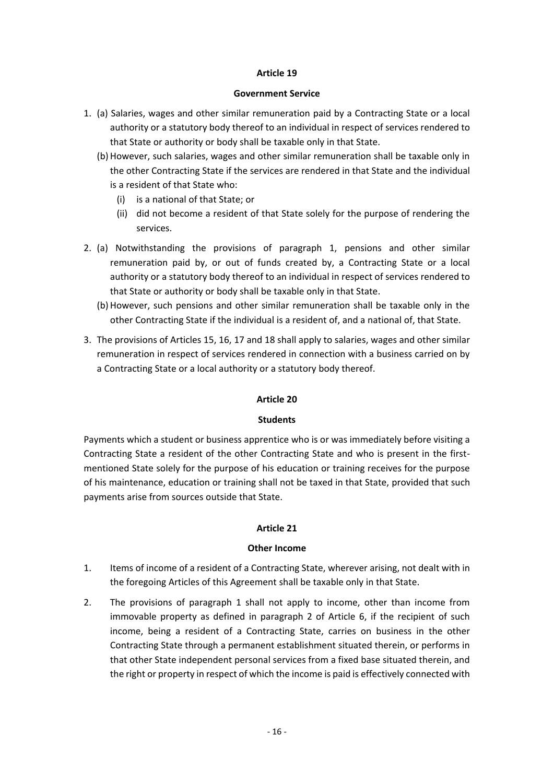#### **Government Service**

- 1. (a) Salaries, wages and other similar remuneration paid by a Contracting State or a local authority or a statutory body thereof to an individual in respect of services rendered to that State or authority or body shall be taxable only in that State.
	- (b) However, such salaries, wages and other similar remuneration shall be taxable only in the other Contracting State if the services are rendered in that State and the individual is a resident of that State who:
		- (i) is a national of that State; or
		- (ii) did not become a resident of that State solely for the purpose of rendering the services.
- 2. (a) Notwithstanding the provisions of paragraph 1, pensions and other similar remuneration paid by, or out of funds created by, a Contracting State or a local authority or a statutory body thereof to an individual in respect of services rendered to that State or authority or body shall be taxable only in that State.
	- (b) However, such pensions and other similar remuneration shall be taxable only in the other Contracting State if the individual is a resident of, and a national of, that State.
- 3. The provisions of Articles 15, 16, 17 and 18 shall apply to salaries, wages and other similar remuneration in respect of services rendered in connection with a business carried on by a Contracting State or a local authority or a statutory body thereof.

### **Article 20**

### **Students**

Payments which a student or business apprentice who is or was immediately before visiting a Contracting State a resident of the other Contracting State and who is present in the firstmentioned State solely for the purpose of his education or training receives for the purpose of his maintenance, education or training shall not be taxed in that State, provided that such payments arise from sources outside that State.

### **Article 21**

### **Other Income**

- 1. Items of income of a resident of a Contracting State, wherever arising, not dealt with in the foregoing Articles of this Agreement shall be taxable only in that State.
- 2. The provisions of paragraph 1 shall not apply to income, other than income from immovable property as defined in paragraph 2 of Article 6, if the recipient of such income, being a resident of a Contracting State, carries on business in the other Contracting State through a permanent establishment situated therein, or performs in that other State independent personal services from a fixed base situated therein, and the right or property in respect of which the income is paid is effectively connected with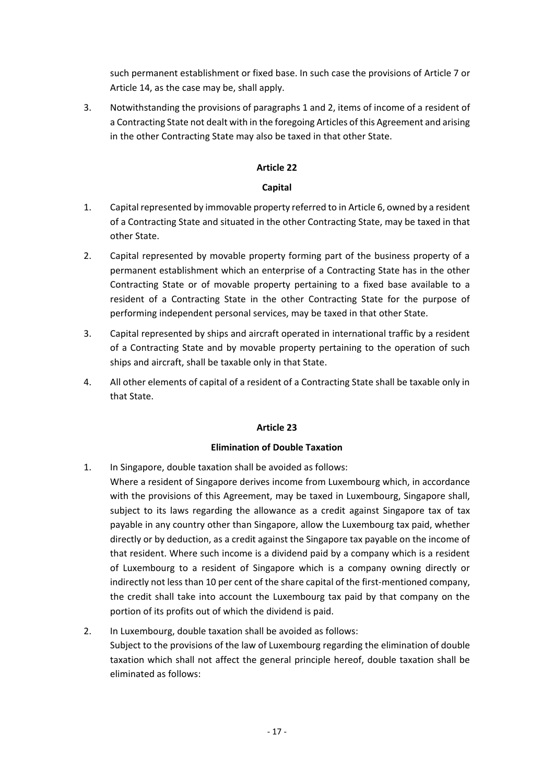such permanent establishment or fixed base. In such case the provisions of Article 7 or Article 14, as the case may be, shall apply.

3. Notwithstanding the provisions of paragraphs 1 and 2, items of income of a resident of a Contracting State not dealt with in the foregoing Articles of this Agreement and arising in the other Contracting State may also be taxed in that other State.

# **Article 22**

# **Capital**

- 1. Capital represented by immovable property referred to in Article 6, owned by a resident of a Contracting State and situated in the other Contracting State, may be taxed in that other State.
- 2. Capital represented by movable property forming part of the business property of a permanent establishment which an enterprise of a Contracting State has in the other Contracting State or of movable property pertaining to a fixed base available to a resident of a Contracting State in the other Contracting State for the purpose of performing independent personal services, may be taxed in that other State.
- 3. Capital represented by ships and aircraft operated in international traffic by a resident of a Contracting State and by movable property pertaining to the operation of such ships and aircraft, shall be taxable only in that State.
- 4. All other elements of capital of a resident of a Contracting State shall be taxable only in that State.

# **Article 23**

# **Elimination of Double Taxation**

- 1. In Singapore, double taxation shall be avoided as follows:
- Where a resident of Singapore derives income from Luxembourg which, in accordance with the provisions of this Agreement, may be taxed in Luxembourg, Singapore shall, subject to its laws regarding the allowance as a credit against Singapore tax of tax payable in any country other than Singapore, allow the Luxembourg tax paid, whether directly or by deduction, as a credit against the Singapore tax payable on the income of that resident. Where such income is a dividend paid by a company which is a resident of Luxembourg to a resident of Singapore which is a company owning directly or indirectly not less than 10 per cent of the share capital of the first-mentioned company, the credit shall take into account the Luxembourg tax paid by that company on the portion of its profits out of which the dividend is paid.
- 2. In Luxembourg, double taxation shall be avoided as follows: Subject to the provisions of the law of Luxembourg regarding the elimination of double taxation which shall not affect the general principle hereof, double taxation shall be eliminated as follows: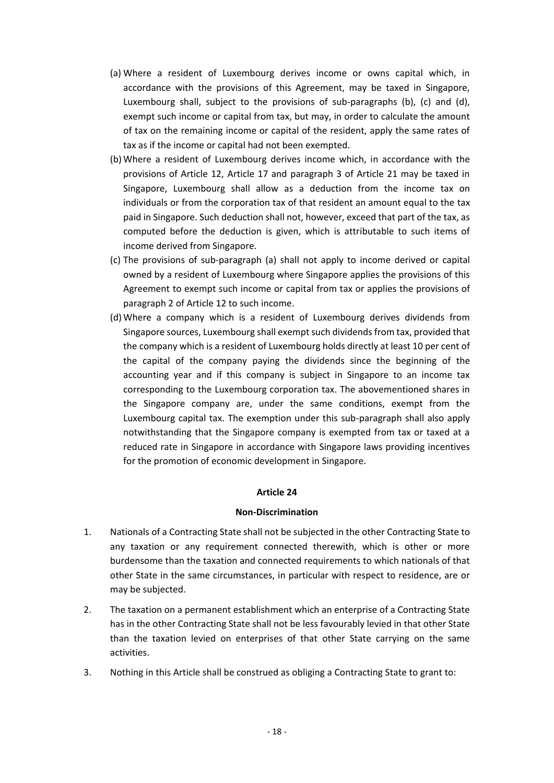- (a) Where a resident of Luxembourg derives income or owns capital which, in accordance with the provisions of this Agreement, may be taxed in Singapore, Luxembourg shall, subject to the provisions of sub-paragraphs (b), (c) and (d), exempt such income or capital from tax, but may, in order to calculate the amount of tax on the remaining income or capital of the resident, apply the same rates of tax as if the income or capital had not been exempted.
- (b) Where a resident of Luxembourg derives income which, in accordance with the provisions of Article 12, Article 17 and paragraph 3 of Article 21 may be taxed in Singapore, Luxembourg shall allow as a deduction from the income tax on individuals or from the corporation tax of that resident an amount equal to the tax paid in Singapore. Such deduction shall not, however, exceed that part of the tax, as computed before the deduction is given, which is attributable to such items of income derived from Singapore.
- (c) The provisions of sub-paragraph (a) shall not apply to income derived or capital owned by a resident of Luxembourg where Singapore applies the provisions of this Agreement to exempt such income or capital from tax or applies the provisions of paragraph 2 of Article 12 to such income.
- (d) Where a company which is a resident of Luxembourg derives dividends from Singapore sources, Luxembourg shall exempt such dividends from tax, provided that the company which is a resident of Luxembourg holds directly at least 10 per cent of the capital of the company paying the dividends since the beginning of the accounting year and if this company is subject in Singapore to an income tax corresponding to the Luxembourg corporation tax. The abovementioned shares in the Singapore company are, under the same conditions, exempt from the Luxembourg capital tax. The exemption under this sub-paragraph shall also apply notwithstanding that the Singapore company is exempted from tax or taxed at a reduced rate in Singapore in accordance with Singapore laws providing incentives for the promotion of economic development in Singapore.

#### **Non-Discrimination**

- 1. Nationals of a Contracting State shall not be subjected in the other Contracting State to any taxation or any requirement connected therewith, which is other or more burdensome than the taxation and connected requirements to which nationals of that other State in the same circumstances, in particular with respect to residence, are or may be subjected.
- 2. The taxation on a permanent establishment which an enterprise of a Contracting State has in the other Contracting State shall not be less favourably levied in that other State than the taxation levied on enterprises of that other State carrying on the same activities.
- 3. Nothing in this Article shall be construed as obliging a Contracting State to grant to: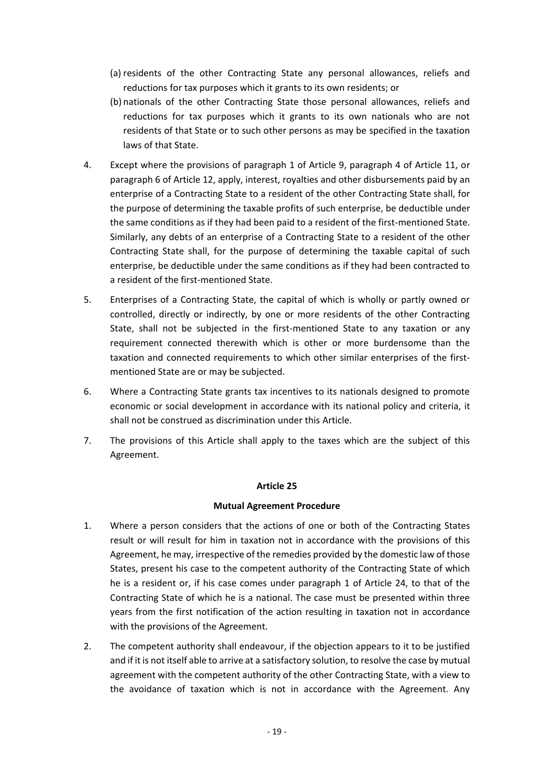- (a) residents of the other Contracting State any personal allowances, reliefs and reductions for tax purposes which it grants to its own residents; or
- (b) nationals of the other Contracting State those personal allowances, reliefs and reductions for tax purposes which it grants to its own nationals who are not residents of that State or to such other persons as may be specified in the taxation laws of that State.
- 4. Except where the provisions of paragraph 1 of Article 9, paragraph 4 of Article 11, or paragraph 6 of Article 12, apply, interest, royalties and other disbursements paid by an enterprise of a Contracting State to a resident of the other Contracting State shall, for the purpose of determining the taxable profits of such enterprise, be deductible under the same conditions as if they had been paid to a resident of the first-mentioned State. Similarly, any debts of an enterprise of a Contracting State to a resident of the other Contracting State shall, for the purpose of determining the taxable capital of such enterprise, be deductible under the same conditions as if they had been contracted to a resident of the first-mentioned State.
- 5. Enterprises of a Contracting State, the capital of which is wholly or partly owned or controlled, directly or indirectly, by one or more residents of the other Contracting State, shall not be subjected in the first-mentioned State to any taxation or any requirement connected therewith which is other or more burdensome than the taxation and connected requirements to which other similar enterprises of the firstmentioned State are or may be subjected.
- 6. Where a Contracting State grants tax incentives to its nationals designed to promote economic or social development in accordance with its national policy and criteria, it shall not be construed as discrimination under this Article.
- 7. The provisions of this Article shall apply to the taxes which are the subject of this Agreement.

# **Mutual Agreement Procedure**

- 1. Where a person considers that the actions of one or both of the Contracting States result or will result for him in taxation not in accordance with the provisions of this Agreement, he may, irrespective of the remedies provided by the domestic law of those States, present his case to the competent authority of the Contracting State of which he is a resident or, if his case comes under paragraph 1 of Article 24, to that of the Contracting State of which he is a national. The case must be presented within three years from the first notification of the action resulting in taxation not in accordance with the provisions of the Agreement.
- 2. The competent authority shall endeavour, if the objection appears to it to be justified and if it is not itself able to arrive at a satisfactory solution, to resolve the case by mutual agreement with the competent authority of the other Contracting State, with a view to the avoidance of taxation which is not in accordance with the Agreement. Any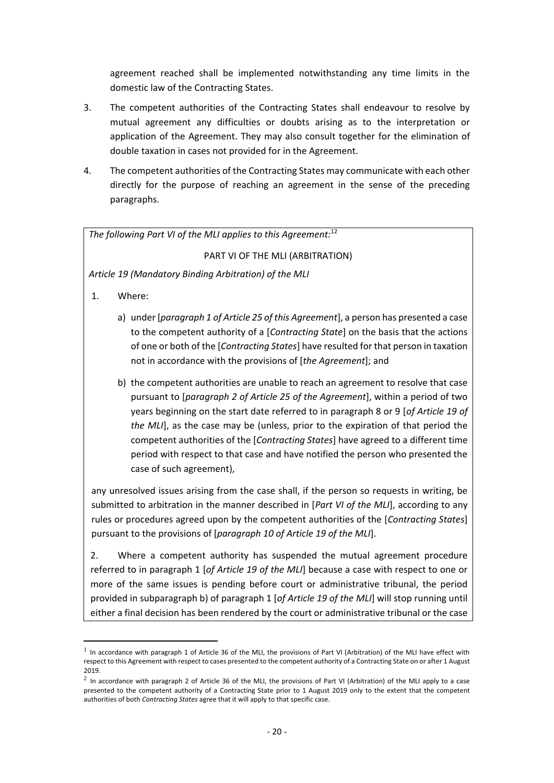agreement reached shall be implemented notwithstanding any time limits in the domestic law of the Contracting States.

- 3. The competent authorities of the Contracting States shall endeavour to resolve by mutual agreement any difficulties or doubts arising as to the interpretation or application of the Agreement. They may also consult together for the elimination of double taxation in cases not provided for in the Agreement.
- 4. The competent authorities of the Contracting States may communicate with each other directly for the purpose of reaching an agreement in the sense of the preceding paragraphs.

*The following Part VI of the MLI applies to this Agreement:*<sup>12</sup>

# PART VI OF THE MLI (ARBITRATION)

*Article 19 (Mandatory Binding Arbitration) of the MLI* 

1. Where:

1

- a) under [*paragraph 1 of Article 25 of this Agreement*], a person has presented a case to the competent authority of a [*Contracting State*] on the basis that the actions of one or both of the [*Contracting States*] have resulted for that person in taxation not in accordance with the provisions of [*the Agreement*]; and
- b) the competent authorities are unable to reach an agreement to resolve that case pursuant to [*paragraph 2 of Article 25 of the Agreement*], within a period of two years beginning on the start date referred to in paragraph 8 or 9 [*of Article 19 of the MLI*], as the case may be (unless, prior to the expiration of that period the competent authorities of the [*Contracting States*] have agreed to a different time period with respect to that case and have notified the person who presented the case of such agreement),

any unresolved issues arising from the case shall, if the person so requests in writing, be submitted to arbitration in the manner described in [*Part VI of the MLI*], according to any rules or procedures agreed upon by the competent authorities of the [*Contracting States*] pursuant to the provisions of [*paragraph 10 of Article 19 of the MLI*].

2. Where a competent authority has suspended the mutual agreement procedure referred to in paragraph 1 [*of Article 19 of the MLI*] because a case with respect to one or more of the same issues is pending before court or administrative tribunal, the period provided in subparagraph b) of paragraph 1 [*of Article 19 of the MLI*] will stop running until either a final decision has been rendered by the court or administrative tribunal or the case

 $<sup>1</sup>$  In accordance with paragraph 1 of Article 36 of the MLI, the provisions of Part VI (Arbitration) of the MLI have effect with</sup> respect to this Agreement with respect to cases presented to the competent authority of a Contracting State on or after 1 August 2019.

 $^2$  In accordance with paragraph 2 of Article 36 of the MLI, the provisions of Part VI (Arbitration) of the MLI apply to a case presented to the competent authority of a Contracting State prior to 1 August 2019 only to the extent that the competent authorities of both *Contracting States* agree that it will apply to that specific case.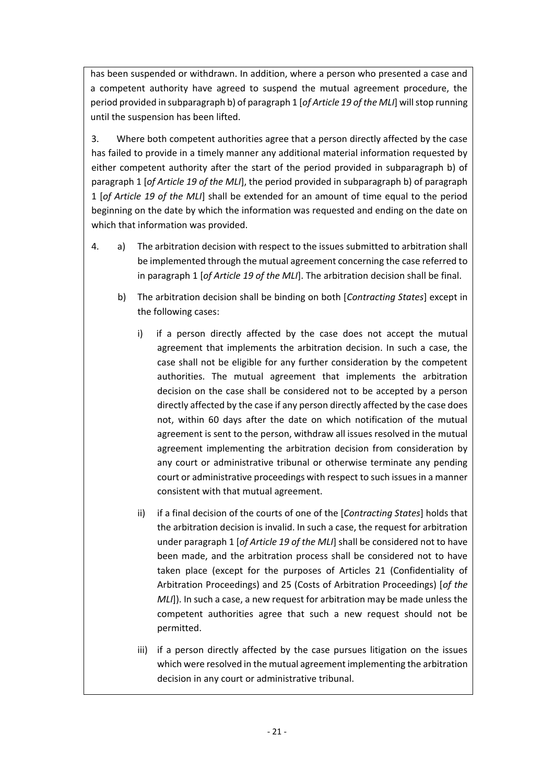has been suspended or withdrawn. In addition, where a person who presented a case and a competent authority have agreed to suspend the mutual agreement procedure, the period provided in subparagraph b) of paragraph 1 [*of Article 19 of the MLI*] will stop running until the suspension has been lifted.

3. Where both competent authorities agree that a person directly affected by the case has failed to provide in a timely manner any additional material information requested by either competent authority after the start of the period provided in subparagraph b) of paragraph 1 [*of Article 19 of the MLI*], the period provided in subparagraph b) of paragraph 1 [*of Article 19 of the MLI*] shall be extended for an amount of time equal to the period beginning on the date by which the information was requested and ending on the date on which that information was provided.

- 4. a) The arbitration decision with respect to the issues submitted to arbitration shall be implemented through the mutual agreement concerning the case referred to in paragraph 1 [*of Article 19 of the MLI*]. The arbitration decision shall be final.
	- b) The arbitration decision shall be binding on both [*Contracting States*] except in the following cases:
		- i) if a person directly affected by the case does not accept the mutual agreement that implements the arbitration decision. In such a case, the case shall not be eligible for any further consideration by the competent authorities. The mutual agreement that implements the arbitration decision on the case shall be considered not to be accepted by a person directly affected by the case if any person directly affected by the case does not, within 60 days after the date on which notification of the mutual agreement is sent to the person, withdraw all issues resolved in the mutual agreement implementing the arbitration decision from consideration by any court or administrative tribunal or otherwise terminate any pending court or administrative proceedings with respect to such issues in a manner consistent with that mutual agreement.
		- ii) if a final decision of the courts of one of the [*Contracting States*] holds that the arbitration decision is invalid. In such a case, the request for arbitration under paragraph 1 [*of Article 19 of the MLI*] shall be considered not to have been made, and the arbitration process shall be considered not to have taken place (except for the purposes of Articles 21 (Confidentiality of Arbitration Proceedings) and 25 (Costs of Arbitration Proceedings) [*of the MLI*]). In such a case, a new request for arbitration may be made unless the competent authorities agree that such a new request should not be permitted.
		- iii) if a person directly affected by the case pursues litigation on the issues which were resolved in the mutual agreement implementing the arbitration decision in any court or administrative tribunal.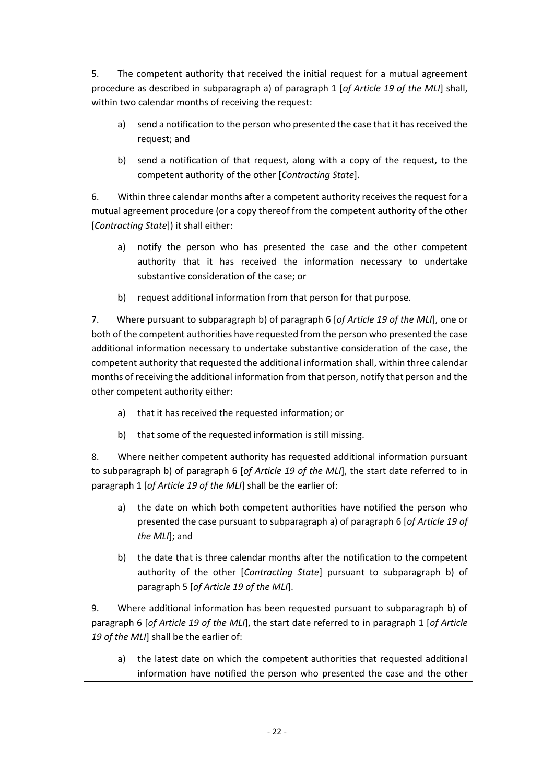5. The competent authority that received the initial request for a mutual agreement procedure as described in subparagraph a) of paragraph 1 [*of Article 19 of the MLI*] shall, within two calendar months of receiving the request:

- a) send a notification to the person who presented the case that it has received the request; and
- b) send a notification of that request, along with a copy of the request, to the competent authority of the other [*Contracting State*].

6. Within three calendar months after a competent authority receives the request for a mutual agreement procedure (or a copy thereof from the competent authority of the other [*Contracting State*]) it shall either:

- a) notify the person who has presented the case and the other competent authority that it has received the information necessary to undertake substantive consideration of the case; or
- b) request additional information from that person for that purpose.

7. Where pursuant to subparagraph b) of paragraph 6 [*of Article 19 of the MLI*], one or both of the competent authorities have requested from the person who presented the case additional information necessary to undertake substantive consideration of the case, the competent authority that requested the additional information shall, within three calendar months of receiving the additional information from that person, notify that person and the other competent authority either:

- a) that it has received the requested information; or
- b) that some of the requested information is still missing.

8. Where neither competent authority has requested additional information pursuant to subparagraph b) of paragraph 6 [*of Article 19 of the MLI*], the start date referred to in paragraph 1 [*of Article 19 of the MLI*] shall be the earlier of:

- a) the date on which both competent authorities have notified the person who presented the case pursuant to subparagraph a) of paragraph 6 [*of Article 19 of the MLI*]; and
- b) the date that is three calendar months after the notification to the competent authority of the other [*Contracting State*] pursuant to subparagraph b) of paragraph 5 [*of Article 19 of the MLI*].

9. Where additional information has been requested pursuant to subparagraph b) of paragraph 6 [*of Article 19 of the MLI*], the start date referred to in paragraph 1 [*of Article 19 of the MLI*] shall be the earlier of:

a) the latest date on which the competent authorities that requested additional information have notified the person who presented the case and the other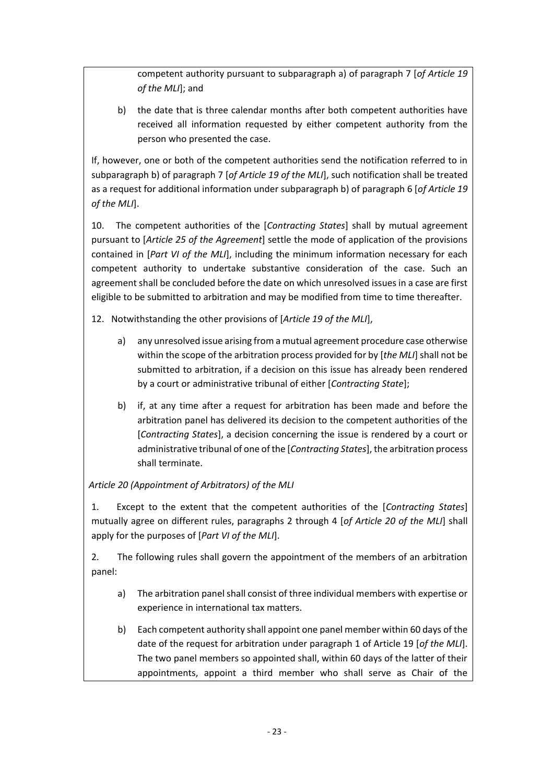competent authority pursuant to subparagraph a) of paragraph 7 [*of Article 19 of the MLI*]; and

b) the date that is three calendar months after both competent authorities have received all information requested by either competent authority from the person who presented the case.

If, however, one or both of the competent authorities send the notification referred to in subparagraph b) of paragraph 7 [*of Article 19 of the MLI*], such notification shall be treated as a request for additional information under subparagraph b) of paragraph 6 [*of Article 19 of the MLI*].

10. The competent authorities of the [*Contracting States*] shall by mutual agreement pursuant to [*Article 25 of the Agreement*] settle the mode of application of the provisions contained in [*Part VI of the MLI*], including the minimum information necessary for each competent authority to undertake substantive consideration of the case. Such an agreement shall be concluded before the date on which unresolved issues in a case are first eligible to be submitted to arbitration and may be modified from time to time thereafter.

12. Notwithstanding the other provisions of [*Article 19 of the MLI*],

- a) any unresolved issue arising from a mutual agreement procedure case otherwise within the scope of the arbitration process provided for by [*the MLI*] shall not be submitted to arbitration, if a decision on this issue has already been rendered by a court or administrative tribunal of either [*Contracting State*];
- b) if, at any time after a request for arbitration has been made and before the arbitration panel has delivered its decision to the competent authorities of the [*Contracting States*], a decision concerning the issue is rendered by a court or administrative tribunal of one of the [*Contracting States*], the arbitration process shall terminate.

# *Article 20 (Appointment of Arbitrators) of the MLI*

1. Except to the extent that the competent authorities of the [*Contracting States*] mutually agree on different rules, paragraphs 2 through 4 [*of Article 20 of the MLI*] shall apply for the purposes of [*Part VI of the MLI*].

2. The following rules shall govern the appointment of the members of an arbitration panel:

- a) The arbitration panel shall consist of three individual members with expertise or experience in international tax matters.
- b) Each competent authority shall appoint one panel member within 60 days of the date of the request for arbitration under paragraph 1 of Article 19 [*of the MLI*]. The two panel members so appointed shall, within 60 days of the latter of their appointments, appoint a third member who shall serve as Chair of the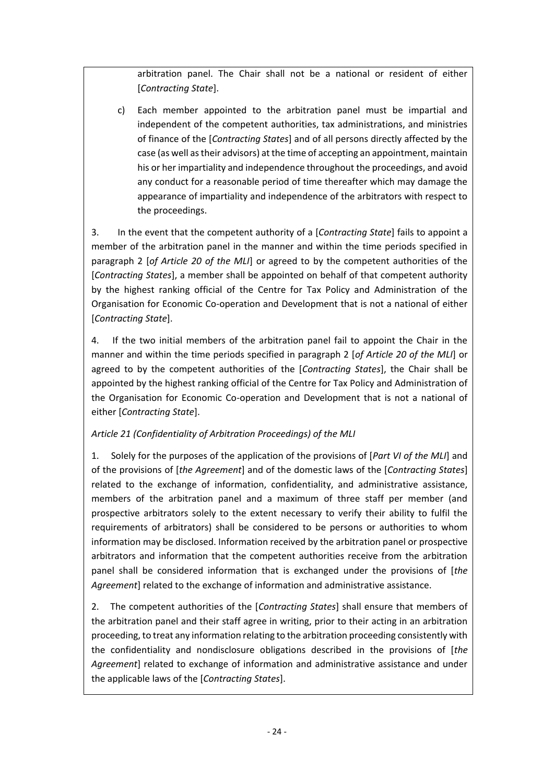arbitration panel. The Chair shall not be a national or resident of either [*Contracting State*].

c) Each member appointed to the arbitration panel must be impartial and independent of the competent authorities, tax administrations, and ministries of finance of the [*Contracting States*] and of all persons directly affected by the case (as well as their advisors) at the time of accepting an appointment, maintain his or her impartiality and independence throughout the proceedings, and avoid any conduct for a reasonable period of time thereafter which may damage the appearance of impartiality and independence of the arbitrators with respect to the proceedings.

3. In the event that the competent authority of a [*Contracting State*] fails to appoint a member of the arbitration panel in the manner and within the time periods specified in paragraph 2 [*of Article 20 of the MLI*] or agreed to by the competent authorities of the [*Contracting States*], a member shall be appointed on behalf of that competent authority by the highest ranking official of the Centre for Tax Policy and Administration of the Organisation for Economic Co-operation and Development that is not a national of either [*Contracting State*].

4. If the two initial members of the arbitration panel fail to appoint the Chair in the manner and within the time periods specified in paragraph 2 [*of Article 20 of the MLI*] or agreed to by the competent authorities of the [*Contracting States*], the Chair shall be appointed by the highest ranking official of the Centre for Tax Policy and Administration of the Organisation for Economic Co-operation and Development that is not a national of either [*Contracting State*].

# *Article 21 (Confidentiality of Arbitration Proceedings) of the MLI*

1. Solely for the purposes of the application of the provisions of [*Part VI of the MLI*] and of the provisions of [*the Agreement*] and of the domestic laws of the [*Contracting States*] related to the exchange of information, confidentiality, and administrative assistance, members of the arbitration panel and a maximum of three staff per member (and prospective arbitrators solely to the extent necessary to verify their ability to fulfil the requirements of arbitrators) shall be considered to be persons or authorities to whom information may be disclosed. Information received by the arbitration panel or prospective arbitrators and information that the competent authorities receive from the arbitration panel shall be considered information that is exchanged under the provisions of [*the Agreement*] related to the exchange of information and administrative assistance.

2. The competent authorities of the [*Contracting States*] shall ensure that members of the arbitration panel and their staff agree in writing, prior to their acting in an arbitration proceeding, to treat any information relating to the arbitration proceeding consistently with the confidentiality and nondisclosure obligations described in the provisions of [*the Agreement*] related to exchange of information and administrative assistance and under the applicable laws of the [*Contracting States*].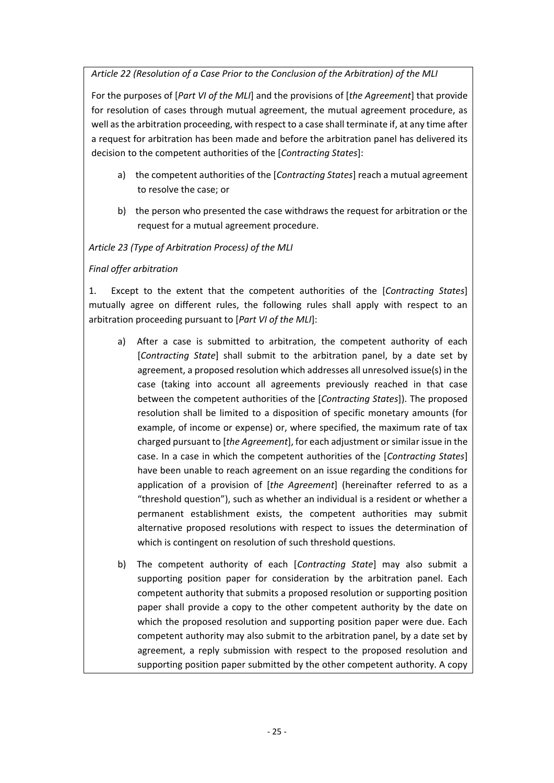*Article 22 (Resolution of a Case Prior to the Conclusion of the Arbitration) of the MLI*

For the purposes of [*Part VI of the MLI*] and the provisions of [*the Agreement*] that provide for resolution of cases through mutual agreement, the mutual agreement procedure, as well as the arbitration proceeding, with respect to a case shall terminate if, at any time after a request for arbitration has been made and before the arbitration panel has delivered its decision to the competent authorities of the [*Contracting States*]:

- a) the competent authorities of the [*Contracting States*] reach a mutual agreement to resolve the case; or
- b) the person who presented the case withdraws the request for arbitration or the request for a mutual agreement procedure.

# *Article 23 (Type of Arbitration Process) of the MLI*

# *Final offer arbitration*

1. Except to the extent that the competent authorities of the [*Contracting States*] mutually agree on different rules, the following rules shall apply with respect to an arbitration proceeding pursuant to [*Part VI of the MLI*]:

- a) After a case is submitted to arbitration, the competent authority of each [*Contracting State*] shall submit to the arbitration panel, by a date set by agreement, a proposed resolution which addresses all unresolved issue(s) in the case (taking into account all agreements previously reached in that case between the competent authorities of the [*Contracting States*]). The proposed resolution shall be limited to a disposition of specific monetary amounts (for example, of income or expense) or, where specified, the maximum rate of tax charged pursuant to [*the Agreement*], for each adjustment or similar issue in the case. In a case in which the competent authorities of the [*Contracting States*] have been unable to reach agreement on an issue regarding the conditions for application of a provision of [*the Agreement*] (hereinafter referred to as a "threshold question"), such as whether an individual is a resident or whether a permanent establishment exists, the competent authorities may submit alternative proposed resolutions with respect to issues the determination of which is contingent on resolution of such threshold questions.
- b) The competent authority of each [*Contracting State*] may also submit a supporting position paper for consideration by the arbitration panel. Each competent authority that submits a proposed resolution or supporting position paper shall provide a copy to the other competent authority by the date on which the proposed resolution and supporting position paper were due. Each competent authority may also submit to the arbitration panel, by a date set by agreement, a reply submission with respect to the proposed resolution and supporting position paper submitted by the other competent authority. A copy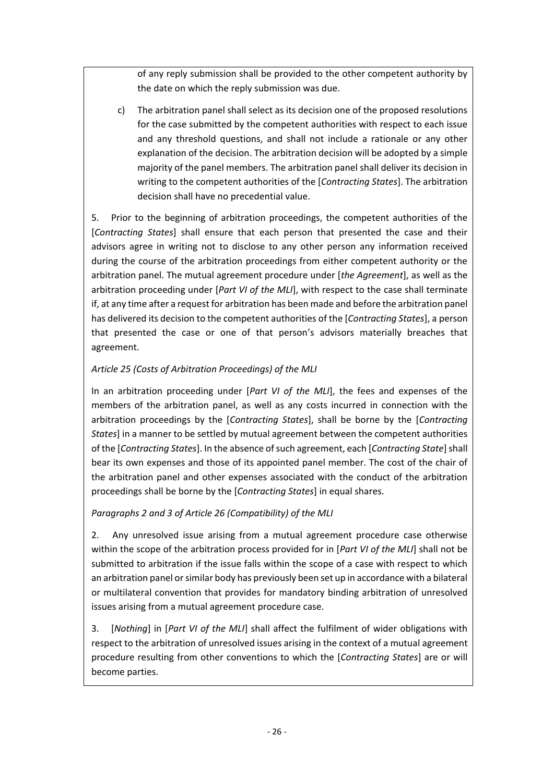of any reply submission shall be provided to the other competent authority by the date on which the reply submission was due.

c) The arbitration panel shall select as its decision one of the proposed resolutions for the case submitted by the competent authorities with respect to each issue and any threshold questions, and shall not include a rationale or any other explanation of the decision. The arbitration decision will be adopted by a simple majority of the panel members. The arbitration panel shall deliver its decision in writing to the competent authorities of the [*Contracting States*]. The arbitration decision shall have no precedential value.

5. Prior to the beginning of arbitration proceedings, the competent authorities of the [*Contracting States*] shall ensure that each person that presented the case and their advisors agree in writing not to disclose to any other person any information received during the course of the arbitration proceedings from either competent authority or the arbitration panel. The mutual agreement procedure under [*the Agreement*], as well as the arbitration proceeding under [*Part VI of the MLI*], with respect to the case shall terminate if, at any time after a request for arbitration has been made and before the arbitration panel has delivered its decision to the competent authorities of the [*Contracting States*], a person that presented the case or one of that person's advisors materially breaches that agreement.

# *Article 25 (Costs of Arbitration Proceedings) of the MLI*

In an arbitration proceeding under [*Part VI of the MLI*], the fees and expenses of the members of the arbitration panel, as well as any costs incurred in connection with the arbitration proceedings by the [*Contracting States*], shall be borne by the [*Contracting States*] in a manner to be settled by mutual agreement between the competent authorities of the [*Contracting States*]. In the absence of such agreement, each [*Contracting State*] shall bear its own expenses and those of its appointed panel member. The cost of the chair of the arbitration panel and other expenses associated with the conduct of the arbitration proceedings shall be borne by the [*Contracting States*] in equal shares.

# *Paragraphs 2 and 3 of Article 26 (Compatibility) of the MLI*

2. Any unresolved issue arising from a mutual agreement procedure case otherwise within the scope of the arbitration process provided for in [*Part VI of the MLI*] shall not be submitted to arbitration if the issue falls within the scope of a case with respect to which an arbitration panel or similar body has previously been set up in accordance with a bilateral or multilateral convention that provides for mandatory binding arbitration of unresolved issues arising from a mutual agreement procedure case.

3. [*Nothing*] in [*Part VI of the MLI*] shall affect the fulfilment of wider obligations with respect to the arbitration of unresolved issues arising in the context of a mutual agreement procedure resulting from other conventions to which the [*Contracting States*] are or will become parties.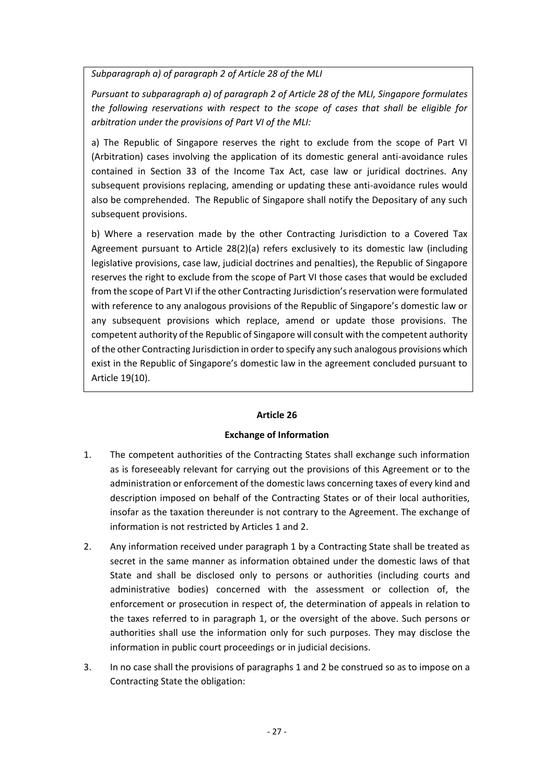*Subparagraph a) of paragraph 2 of Article 28 of the MLI*

*Pursuant to subparagraph a) of paragraph 2 of Article 28 of the MLI, Singapore formulates the following reservations with respect to the scope of cases that shall be eligible for arbitration under the provisions of Part VI of the MLI:*

a) The Republic of Singapore reserves the right to exclude from the scope of Part VI (Arbitration) cases involving the application of its domestic general anti-avoidance rules contained in Section 33 of the Income Tax Act, case law or juridical doctrines. Any subsequent provisions replacing, amending or updating these anti-avoidance rules would also be comprehended. The Republic of Singapore shall notify the Depositary of any such subsequent provisions.

b) Where a reservation made by the other Contracting Jurisdiction to a Covered Tax Agreement pursuant to Article 28(2)(a) refers exclusively to its domestic law (including legislative provisions, case law, judicial doctrines and penalties), the Republic of Singapore reserves the right to exclude from the scope of Part VI those cases that would be excluded from the scope of Part VI if the other Contracting Jurisdiction's reservation were formulated with reference to any analogous provisions of the Republic of Singapore's domestic law or any subsequent provisions which replace, amend or update those provisions. The competent authority of the Republic of Singapore will consult with the competent authority of the other Contracting Jurisdiction in order to specify any such analogous provisions which exist in the Republic of Singapore's domestic law in the agreement concluded pursuant to Article 19(10).

# **Article 26**

# **Exchange of Information**

- 1. The competent authorities of the Contracting States shall exchange such information as is foreseeably relevant for carrying out the provisions of this Agreement or to the administration or enforcement of the domestic laws concerning taxes of every kind and description imposed on behalf of the Contracting States or of their local authorities, insofar as the taxation thereunder is not contrary to the Agreement. The exchange of information is not restricted by Articles 1 and 2.
- 2. Any information received under paragraph 1 by a Contracting State shall be treated as secret in the same manner as information obtained under the domestic laws of that State and shall be disclosed only to persons or authorities (including courts and administrative bodies) concerned with the assessment or collection of, the enforcement or prosecution in respect of, the determination of appeals in relation to the taxes referred to in paragraph 1, or the oversight of the above. Such persons or authorities shall use the information only for such purposes. They may disclose the information in public court proceedings or in judicial decisions.
- 3. In no case shall the provisions of paragraphs 1 and 2 be construed so as to impose on a Contracting State the obligation: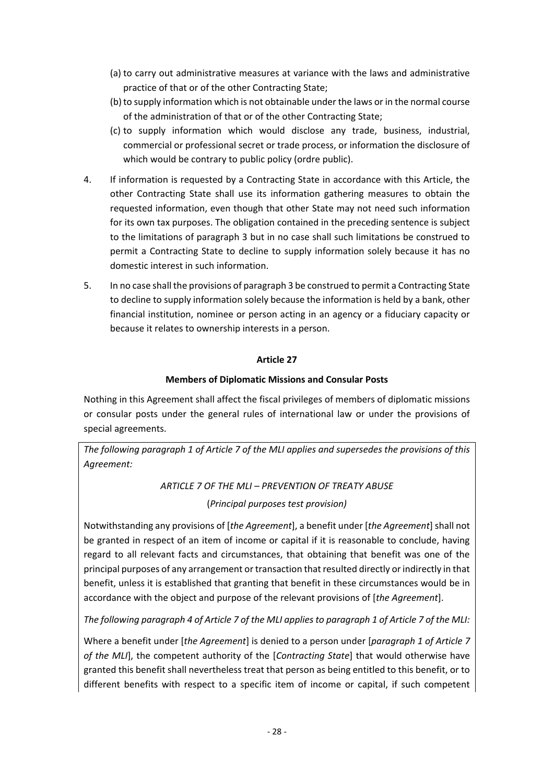- (a) to carry out administrative measures at variance with the laws and administrative practice of that or of the other Contracting State;
- (b) to supply information which is not obtainable under the laws or in the normal course of the administration of that or of the other Contracting State;
- (c) to supply information which would disclose any trade, business, industrial, commercial or professional secret or trade process, or information the disclosure of which would be contrary to public policy (ordre public).
- 4. If information is requested by a Contracting State in accordance with this Article, the other Contracting State shall use its information gathering measures to obtain the requested information, even though that other State may not need such information for its own tax purposes. The obligation contained in the preceding sentence is subject to the limitations of paragraph 3 but in no case shall such limitations be construed to permit a Contracting State to decline to supply information solely because it has no domestic interest in such information.
- 5. In no case shall the provisions of paragraph 3 be construed to permit a Contracting State to decline to supply information solely because the information is held by a bank, other financial institution, nominee or person acting in an agency or a fiduciary capacity or because it relates to ownership interests in a person.

# **Members of Diplomatic Missions and Consular Posts**

Nothing in this Agreement shall affect the fiscal privileges of members of diplomatic missions or consular posts under the general rules of international law or under the provisions of special agreements.

*The following paragraph 1 of Article 7 of the MLI applies and supersedes the provisions of this Agreement:*

# *ARTICLE 7 OF THE MLI – PREVENTION OF TREATY ABUSE*

(*Principal purposes test provision)*

Notwithstanding any provisions of [*the Agreement*], a benefit under [*the Agreement*] shall not be granted in respect of an item of income or capital if it is reasonable to conclude, having regard to all relevant facts and circumstances, that obtaining that benefit was one of the principal purposes of any arrangement or transaction that resulted directly or indirectly in that benefit, unless it is established that granting that benefit in these circumstances would be in accordance with the object and purpose of the relevant provisions of [*the Agreement*].

*The following paragraph 4 of Article 7 of the MLI applies to paragraph 1 of Article 7 of the MLI:*

Where a benefit under [*the Agreement*] is denied to a person under [*paragraph 1 of Article 7 of the MLI*], the competent authority of the [*Contracting State*] that would otherwise have granted this benefit shall nevertheless treat that person as being entitled to this benefit, or to different benefits with respect to a specific item of income or capital, if such competent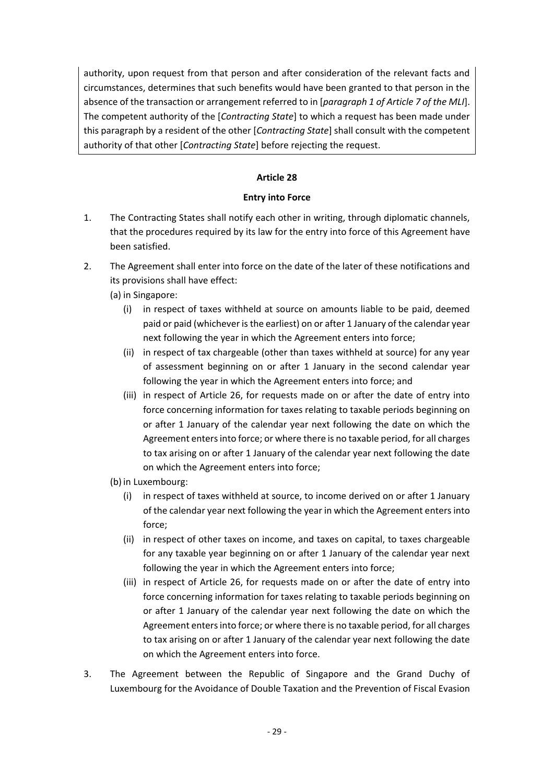authority, upon request from that person and after consideration of the relevant facts and circumstances, determines that such benefits would have been granted to that person in the absence of the transaction or arrangement referred to in [*paragraph 1 of Article 7 of the MLI*]. The competent authority of the [*Contracting State*] to which a request has been made under this paragraph by a resident of the other [*Contracting State*] shall consult with the competent authority of that other [*Contracting State*] before rejecting the request.

# **Article 28**

# **Entry into Force**

- 1. The Contracting States shall notify each other in writing, through diplomatic channels, that the procedures required by its law for the entry into force of this Agreement have been satisfied.
- 2. The Agreement shall enter into force on the date of the later of these notifications and its provisions shall have effect:
	- (a) in Singapore:
		- (i) in respect of taxes withheld at source on amounts liable to be paid, deemed paid or paid (whichever isthe earliest) on or after 1 January of the calendar year next following the year in which the Agreement enters into force;
		- (ii) in respect of tax chargeable (other than taxes withheld at source) for any year of assessment beginning on or after 1 January in the second calendar year following the year in which the Agreement enters into force; and
		- (iii) in respect of Article 26, for requests made on or after the date of entry into force concerning information for taxes relating to taxable periods beginning on or after 1 January of the calendar year next following the date on which the Agreement enters into force; or where there is no taxable period, for all charges to tax arising on or after 1 January of the calendar year next following the date on which the Agreement enters into force;
	- (b) in Luxembourg:
		- (i) in respect of taxes withheld at source, to income derived on or after 1 January of the calendar year next following the year in which the Agreement enters into force;
		- (ii) in respect of other taxes on income, and taxes on capital, to taxes chargeable for any taxable year beginning on or after 1 January of the calendar year next following the year in which the Agreement enters into force;
		- (iii) in respect of Article 26, for requests made on or after the date of entry into force concerning information for taxes relating to taxable periods beginning on or after 1 January of the calendar year next following the date on which the Agreement enters into force; or where there is no taxable period, for all charges to tax arising on or after 1 January of the calendar year next following the date on which the Agreement enters into force.
- 3. The Agreement between the Republic of Singapore and the Grand Duchy of Luxembourg for the Avoidance of Double Taxation and the Prevention of Fiscal Evasion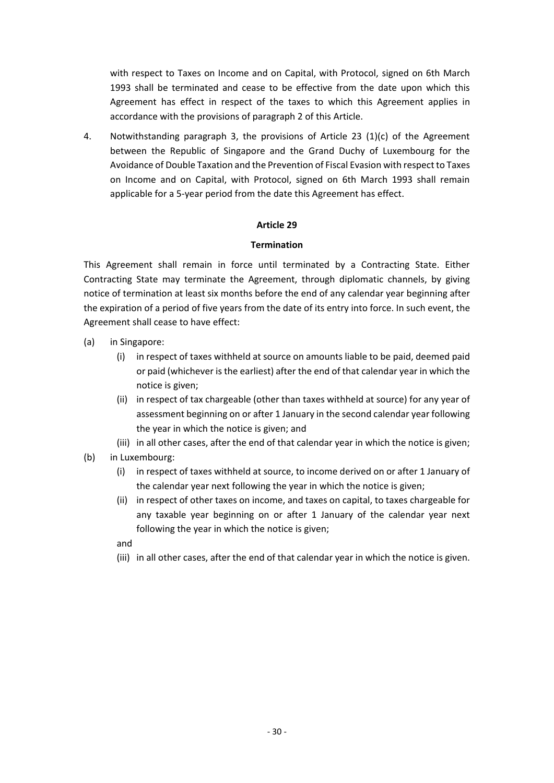with respect to Taxes on Income and on Capital, with Protocol, signed on 6th March 1993 shall be terminated and cease to be effective from the date upon which this Agreement has effect in respect of the taxes to which this Agreement applies in accordance with the provisions of paragraph 2 of this Article.

4. Notwithstanding paragraph 3, the provisions of Article 23 (1)(c) of the Agreement between the Republic of Singapore and the Grand Duchy of Luxembourg for the Avoidance of Double Taxation and the Prevention of Fiscal Evasion with respect to Taxes on Income and on Capital, with Protocol, signed on 6th March 1993 shall remain applicable for a 5-year period from the date this Agreement has effect.

# **Article 29**

## **Termination**

This Agreement shall remain in force until terminated by a Contracting State. Either Contracting State may terminate the Agreement, through diplomatic channels, by giving notice of termination at least six months before the end of any calendar year beginning after the expiration of a period of five years from the date of its entry into force. In such event, the Agreement shall cease to have effect:

- (a) in Singapore:
	- (i) in respect of taxes withheld at source on amounts liable to be paid, deemed paid or paid (whichever is the earliest) after the end of that calendar year in which the notice is given;
	- (ii) in respect of tax chargeable (other than taxes withheld at source) for any year of assessment beginning on or after 1 January in the second calendar year following the year in which the notice is given; and
	- (iii) in all other cases, after the end of that calendar year in which the notice is given;
- (b) in Luxembourg:
	- (i) in respect of taxes withheld at source, to income derived on or after 1 January of the calendar year next following the year in which the notice is given;
	- (ii) in respect of other taxes on income, and taxes on capital, to taxes chargeable for any taxable year beginning on or after 1 January of the calendar year next following the year in which the notice is given;
	- and
	- (iii) in all other cases, after the end of that calendar year in which the notice is given.